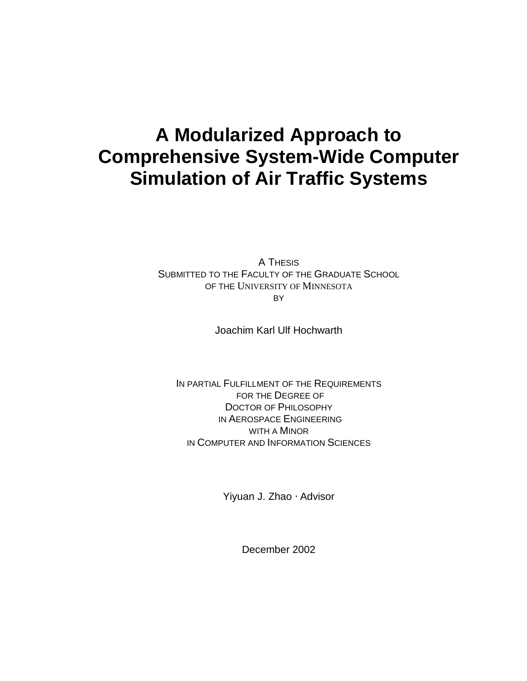# **A Modularized Approach to Comprehensive System-Wide Computer Simulation of Air Traffic Systems**

A THESIS SUBMITTED TO THE FACULTY OF THE GRADUATE SCHOOL OF THE UNIVERSITY OF MINNESOTA BY

Joachim Karl Ulf Hochwarth

IN PARTIAL FULFILLMENT OF THE REQUIREMENTS FOR THE DEGREE OF DOCTOR OF PHILOSOPHY IN AEROSPACE ENGINEERING WITH A MINOR IN COMPUTER AND INFORMATION SCIENCES

Yiyuan J. Zhao ⋅ Advisor

December 2002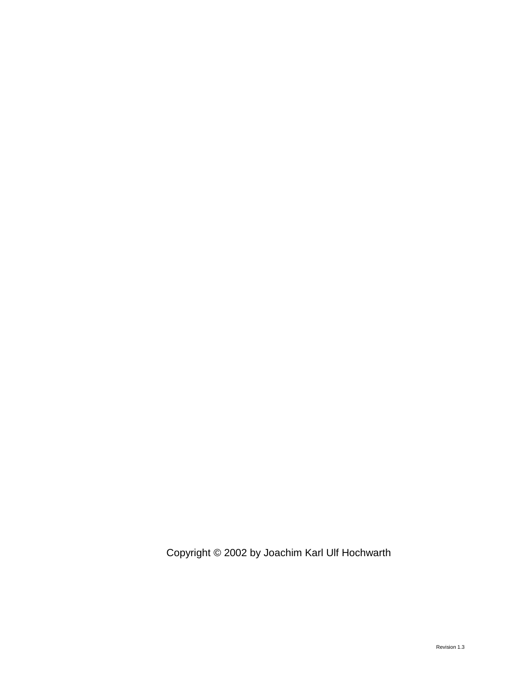Copyright © 2002 by Joachim Karl Ulf Hochwarth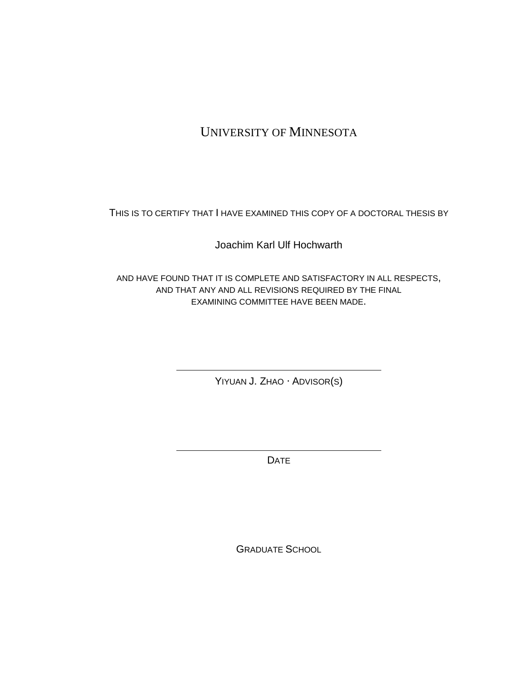## UNIVERSITY OF MINNESOTA

THIS IS TO CERTIFY THAT I HAVE EXAMINED THIS COPY OF A DOCTORAL THESIS BY

Joachim Karl Ulf Hochwarth

AND HAVE FOUND THAT IT IS COMPLETE AND SATISFACTORY IN ALL RESPECTS, AND THAT ANY AND ALL REVISIONS REQUIRED BY THE FINAL EXAMINING COMMITTEE HAVE BEEN MADE.

YIYUAN J. ZHAO ⋅ ADVISOR(S)

DATE

GRADUATE SCHOOL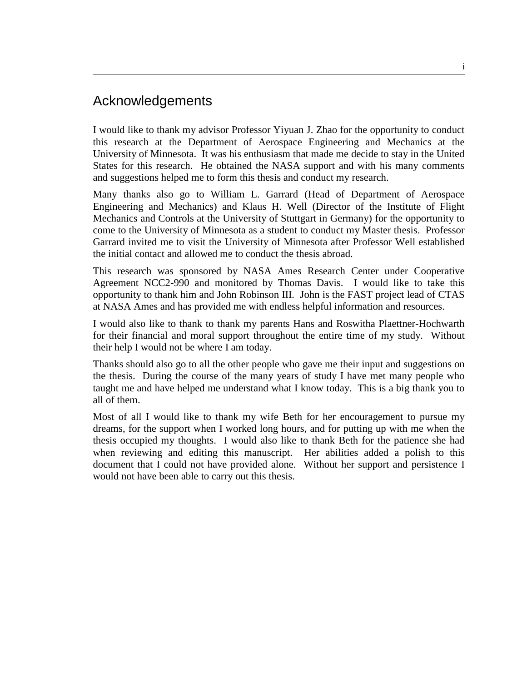### Acknowledgements

I would like to thank my advisor Professor Yiyuan J. Zhao for the opportunity to conduct this research at the Department of Aerospace Engineering and Mechanics at the University of Minnesota. It was his enthusiasm that made me decide to stay in the United States for this research. He obtained the NASA support and with his many comments and suggestions helped me to form this thesis and conduct my research.

Many thanks also go to William L. Garrard (Head of Department of Aerospace Engineering and Mechanics) and Klaus H. Well (Director of the Institute of Flight Mechanics and Controls at the University of Stuttgart in Germany) for the opportunity to come to the University of Minnesota as a student to conduct my Master thesis. Professor Garrard invited me to visit the University of Minnesota after Professor Well established the initial contact and allowed me to conduct the thesis abroad.

This research was sponsored by NASA Ames Research Center under Cooperative Agreement NCC2-990 and monitored by Thomas Davis. I would like to take this opportunity to thank him and John Robinson III. John is the FAST project lead of CTAS at NASA Ames and has provided me with endless helpful information and resources.

I would also like to thank to thank my parents Hans and Roswitha Plaettner-Hochwarth for their financial and moral support throughout the entire time of my study. Without their help I would not be where I am today.

Thanks should also go to all the other people who gave me their input and suggestions on the thesis. During the course of the many years of study I have met many people who taught me and have helped me understand what I know today. This is a big thank you to all of them.

Most of all I would like to thank my wife Beth for her encouragement to pursue my dreams, for the support when I worked long hours, and for putting up with me when the thesis occupied my thoughts. I would also like to thank Beth for the patience she had when reviewing and editing this manuscript. Her abilities added a polish to this document that I could not have provided alone. Without her support and persistence I would not have been able to carry out this thesis.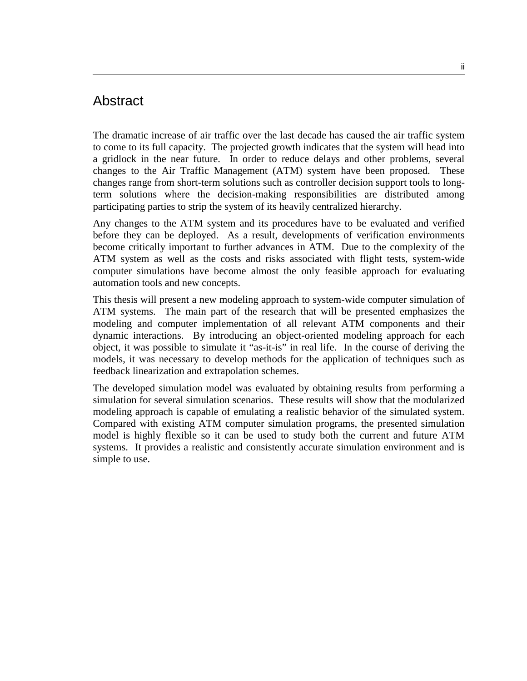#### Abstract

The dramatic increase of air traffic over the last decade has caused the air traffic system to come to its full capacity. The projected growth indicates that the system will head into a gridlock in the near future. In order to reduce delays and other problems, several changes to the Air Traffic Management (ATM) system have been proposed. These changes range from short-term solutions such as controller decision support tools to longterm solutions where the decision-making responsibilities are distributed among participating parties to strip the system of its heavily centralized hierarchy.

Any changes to the ATM system and its procedures have to be evaluated and verified before they can be deployed. As a result, developments of verification environments become critically important to further advances in ATM. Due to the complexity of the ATM system as well as the costs and risks associated with flight tests, system-wide computer simulations have become almost the only feasible approach for evaluating automation tools and new concepts.

This thesis will present a new modeling approach to system-wide computer simulation of ATM systems. The main part of the research that will be presented emphasizes the modeling and computer implementation of all relevant ATM components and their dynamic interactions. By introducing an object-oriented modeling approach for each object, it was possible to simulate it "as-it-is" in real life. In the course of deriving the models, it was necessary to develop methods for the application of techniques such as feedback linearization and extrapolation schemes.

The developed simulation model was evaluated by obtaining results from performing a simulation for several simulation scenarios. These results will show that the modularized modeling approach is capable of emulating a realistic behavior of the simulated system. Compared with existing ATM computer simulation programs, the presented simulation model is highly flexible so it can be used to study both the current and future ATM systems. It provides a realistic and consistently accurate simulation environment and is simple to use.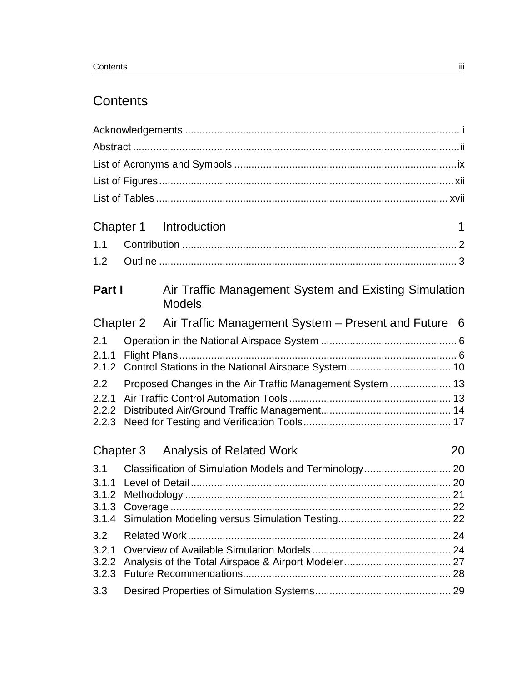# **Contents**

|                |               | Chapter 1 Introduction                                                 | 1 |
|----------------|---------------|------------------------------------------------------------------------|---|
| 1.1            |               |                                                                        |   |
| 1.2            |               |                                                                        |   |
|                |               |                                                                        |   |
|                | <b>Part I</b> | Air Traffic Management System and Existing Simulation<br><b>Models</b> |   |
|                |               | Chapter 2 Air Traffic Management System – Present and Future 6         |   |
| 2.1            |               |                                                                        |   |
| 2.1.1          |               |                                                                        |   |
|                |               |                                                                        |   |
| 2.2            |               | Proposed Changes in the Air Traffic Management System  13              |   |
| 2.2.1          |               |                                                                        |   |
| 2.2.2<br>2.2.3 |               |                                                                        |   |
|                |               |                                                                        |   |
|                | Chapter 3     | <b>Analysis of Related Work</b><br>20                                  |   |
| 3.1            |               |                                                                        |   |
| 3.1.1          |               |                                                                        |   |
|                |               |                                                                        |   |
|                |               |                                                                        |   |
| 3.2            |               |                                                                        |   |
| 3.2.1          |               |                                                                        |   |
| 3.2.2          |               |                                                                        |   |
| 3.2.3          |               |                                                                        |   |
| 3.3            |               |                                                                        |   |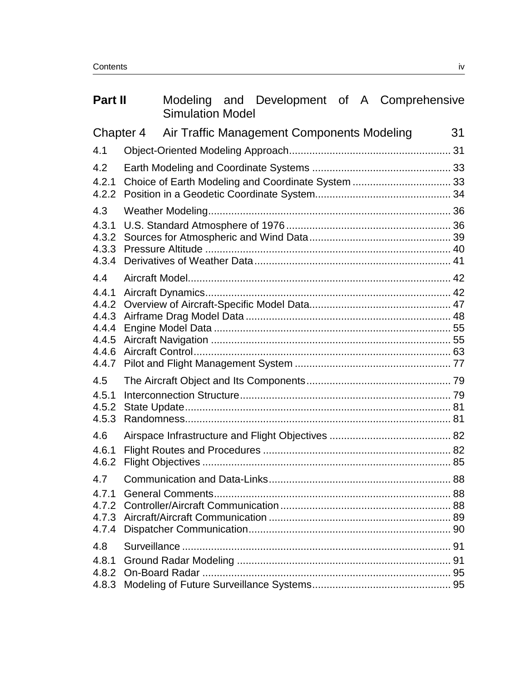| Part II                          |  | <b>Simulation Model</b>                    |  |  | Modeling and Development of A Comprehensive |
|----------------------------------|--|--------------------------------------------|--|--|---------------------------------------------|
| Chapter 4                        |  | Air Traffic Management Components Modeling |  |  | 31                                          |
| 4.1                              |  |                                            |  |  |                                             |
| 4.2                              |  |                                            |  |  |                                             |
| 4.2.1<br>4.2.2                   |  |                                            |  |  |                                             |
| 4.3                              |  |                                            |  |  |                                             |
| 4.3.1<br>4.3.2<br>4.3.3<br>4.3.4 |  |                                            |  |  |                                             |
| 4.4                              |  |                                            |  |  |                                             |
| 4.4.1<br>4.4.2<br>4.4.3          |  |                                            |  |  |                                             |
| 4.4.4<br>4.4.5<br>4.4.6<br>4.4.7 |  |                                            |  |  |                                             |
| 4.5<br>4.5.1<br>4.5.2<br>4.5.3   |  |                                            |  |  |                                             |
| 4.6                              |  |                                            |  |  |                                             |
| 4.6.1<br>4.6.2                   |  |                                            |  |  |                                             |
|                                  |  |                                            |  |  |                                             |
| 4.7.1<br>4.7.2<br>4.7.4          |  |                                            |  |  |                                             |
| 4.8                              |  |                                            |  |  |                                             |
| 4.8.1<br>4.8.2<br>4.8.3          |  |                                            |  |  |                                             |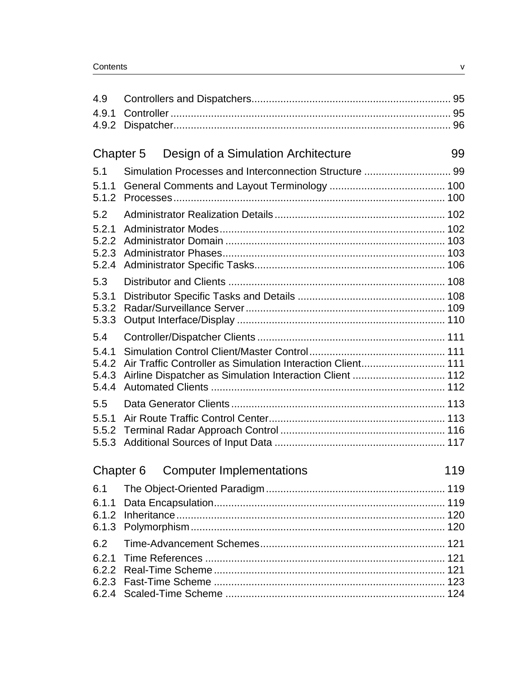| 4.9                              |                                                                                                                         |     |
|----------------------------------|-------------------------------------------------------------------------------------------------------------------------|-----|
| 4.9.1                            |                                                                                                                         |     |
| 4.9.2                            |                                                                                                                         |     |
|                                  |                                                                                                                         |     |
| Chapter 5                        | Design of a Simulation Architecture                                                                                     | 99  |
| 5.1                              | Simulation Processes and Interconnection Structure  99                                                                  |     |
| 5.1.1<br>5.1.2                   |                                                                                                                         |     |
| 5.2                              |                                                                                                                         |     |
| 5.2.1<br>5.2.2<br>5.2.3<br>5.2.4 |                                                                                                                         |     |
| 5.3                              |                                                                                                                         |     |
| 5.3.1<br>5.3.2<br>5.3.3          |                                                                                                                         |     |
| 5.4                              |                                                                                                                         |     |
| 5.4.1<br>5.4.2<br>5.4.3<br>5.4.4 | Air Traffic Controller as Simulation Interaction Client 111<br>Airline Dispatcher as Simulation Interaction Client  112 |     |
| 5.5                              |                                                                                                                         |     |
| 5.5.1                            |                                                                                                                         |     |
| 5.5.2<br>5.5.3                   |                                                                                                                         |     |
| Chapter 6                        | <b>Computer Implementations</b>                                                                                         | 119 |
| 6.1                              |                                                                                                                         |     |
| 6.1.1<br>6.1.2<br>6.1.3          |                                                                                                                         |     |
| 6.2                              |                                                                                                                         |     |
| 6.2.1<br>6.2.2<br>6.2.3          |                                                                                                                         |     |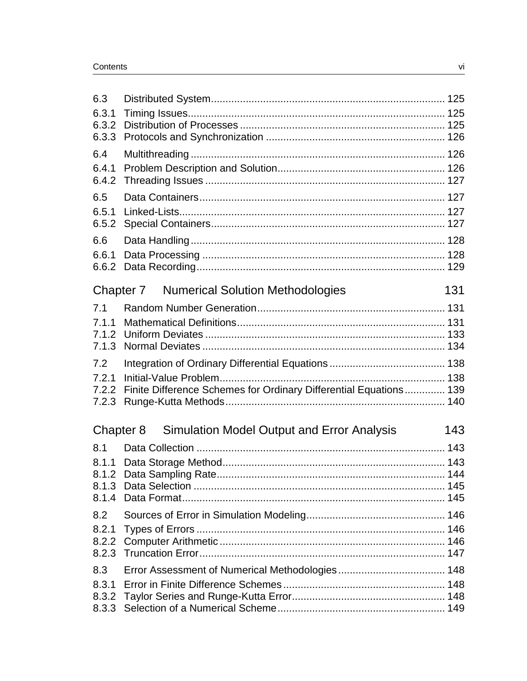| 6.3                     |                                                                   |     |
|-------------------------|-------------------------------------------------------------------|-----|
| 6.3.1<br>6.3.2<br>6.3.3 |                                                                   |     |
| 6.4                     |                                                                   |     |
| 6.4.1<br>6.4.2          |                                                                   |     |
| 6.5                     |                                                                   |     |
| 6.5.1<br>6.5.2          |                                                                   |     |
| 6.6                     |                                                                   |     |
| 6.6.1<br>6.6.2          |                                                                   |     |
|                         | <b>Numerical Solution Methodologies</b><br>Chapter 7              | 131 |
| 7.1                     |                                                                   |     |
| 7.1.1                   |                                                                   |     |
| 7.1.2<br>7.1.3          |                                                                   |     |
| 7.2                     |                                                                   |     |
| 7.2.1                   |                                                                   |     |
| 7.2.2<br>7.2.3          | Finite Difference Schemes for Ordinary Differential Equations 139 |     |
| Chapter 8               | <b>Simulation Model Output and Error Analysis</b>                 | 143 |
| 8.1                     |                                                                   |     |
| 8.1.1                   |                                                                   |     |
| 8.1.2                   |                                                                   |     |
|                         |                                                                   |     |
| 8.2                     |                                                                   |     |
| 8.2.1                   |                                                                   |     |
| 8.2.2<br>8.2.3          |                                                                   |     |
| 8.3                     |                                                                   |     |
| 8.3.1                   |                                                                   |     |
| 8.3.2                   |                                                                   |     |
| 8.3.3                   |                                                                   |     |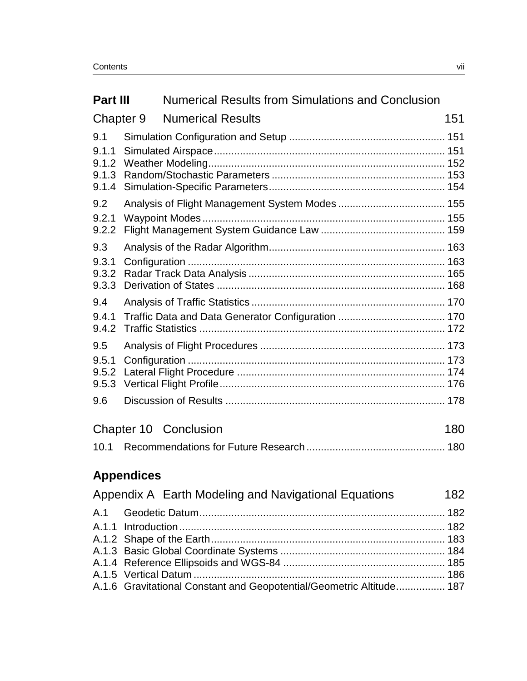| <b>Part III</b>                         |                   | <b>Numerical Results from Simulations and Conclusion</b> |     |
|-----------------------------------------|-------------------|----------------------------------------------------------|-----|
|                                         | Chapter 9         | <b>Numerical Results</b>                                 | 151 |
| 9.1<br>9.1.1<br>9.1.2<br>9.1.3<br>9.1.4 |                   |                                                          |     |
| 9.2<br>9.2.1<br>9.2.2                   |                   |                                                          |     |
| 9.3<br>9.3.1<br>9.3.2<br>9.3.3          |                   |                                                          |     |
| 9.4<br>9.4.1<br>9.4.2                   |                   |                                                          |     |
| 9.5<br>9.5.1<br>9.5.2<br>9.5.3<br>9.6   |                   |                                                          |     |
|                                         |                   | <b>Chapter 10 Conclusion</b>                             | 180 |
| 10.1                                    |                   |                                                          |     |
|                                         | <b>Appendices</b> |                                                          |     |
|                                         |                   | Appendix A Earth Modeling and Navigational Equations     | 182 |
|                                         |                   |                                                          | 182 |

A.1.1 Introduction............................................................................................ 182 A.1.2 Shape of the Earth................................................................................. 183 A.1.3 Basic Global Coordinate Systems ......................................................... 184 A.1.4 Reference Ellipsoids and WGS-84 ........................................................ 185 A.1.5 Vertical Datum ....................................................................................... 186 A.1.6 Gravitational Constant and Geopotential/Geometric Altitude................. 187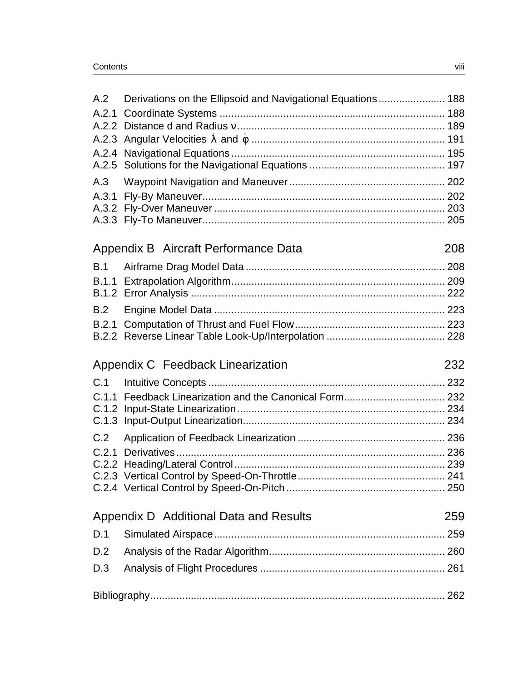|       | Derivations on the Ellipsoid and Navigational Equations 188 |     |
|-------|-------------------------------------------------------------|-----|
|       |                                                             |     |
|       |                                                             |     |
|       |                                                             |     |
|       |                                                             |     |
|       |                                                             |     |
| A.3   |                                                             |     |
|       |                                                             |     |
|       |                                                             |     |
|       |                                                             |     |
|       | Appendix B Aircraft Performance Data                        | 208 |
| B.1   |                                                             |     |
|       |                                                             |     |
|       |                                                             |     |
| B.2   |                                                             |     |
| B.2.1 |                                                             |     |
|       |                                                             |     |
|       |                                                             |     |
|       | Appendix C Feedback Linearization                           | 232 |
| C.1   |                                                             |     |
|       |                                                             |     |
|       | C.1.1 Feedback Linearization and the Canonical Form 232     |     |
|       |                                                             |     |
| C.2   |                                                             |     |
|       |                                                             |     |
|       |                                                             |     |
|       |                                                             |     |
|       |                                                             |     |
|       | Appendix D Additional Data and Results                      | 259 |
| D.1   |                                                             |     |
| D.2   |                                                             |     |
| D.3   |                                                             |     |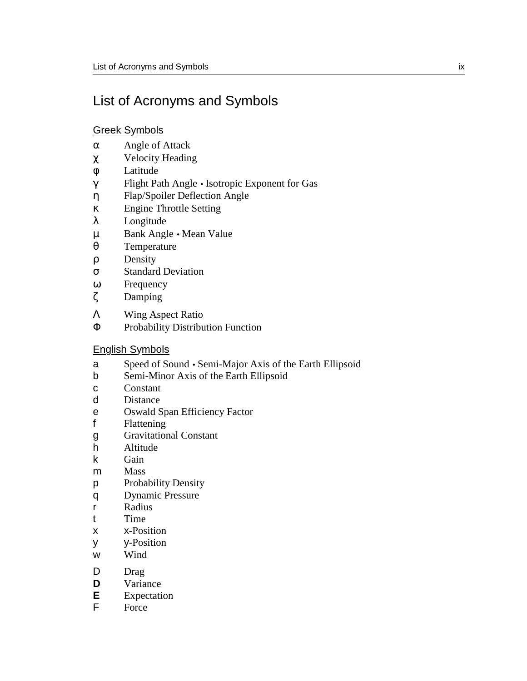# List of Acronyms and Symbols

#### Greek Symbols

- α Angle of Attack
- χ Velocity Heading
- φ Latitude
- γ Flight Path Angle Isotropic Exponent for Gas
- η Flap/Spoiler Deflection Angle
- κ Engine Throttle Setting
- λ Longitude
- µ Bank Angle Mean Value
- θ Temperature
- ρ Density
- σ Standard Deviation
- ω Frequency
- ζ Damping
- Λ Wing Aspect Ratio
- Φ Probability Distribution Function

#### English Symbols

- a Speed of Sound Semi-Major Axis of the Earth Ellipsoid
- b Semi-Minor Axis of the Earth Ellipsoid
- c Constant
- d Distance
- e Oswald Span Efficiency Factor
- f Flattening
- g Gravitational Constant
- h Altitude
- k Gain
- m Mass
- p Probability Density
- q Dynamic Pressure
- r Radius
- t Time
- x x-Position
- y y-Position
- w Wind
- D Drag
- **D** Variance
- **E** Expectation<br>**F** Force
- Force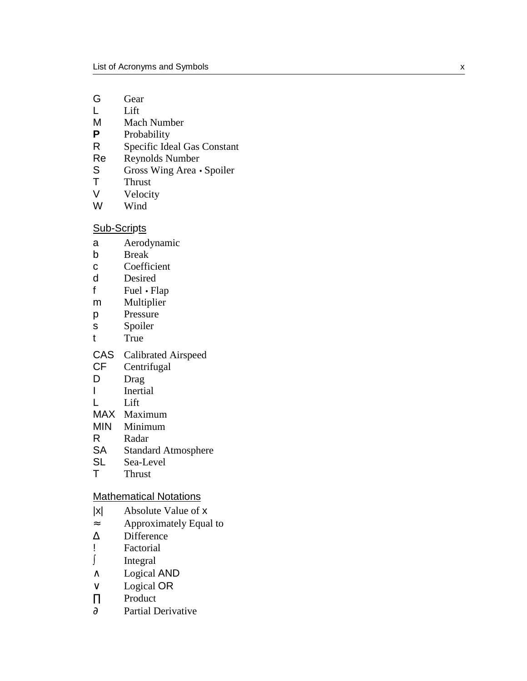- G Gear
- L Lift
- M Mach Number<br>P Probability
- **Probability**
- R Specific Ideal Gas Constant<br>Re Revnolds Number
- Reynolds Number
- S Gross Wing Area Spoiler<br>T Thrust
- Thrust
- V Velocity
- W Wind

#### Sub-Scripts

- a Aerodynamic
- b Break
- c Coefficient
- d Desired
- f Fuel Flap
- m Multiplier
- p Pressure
- s Spoiler
- t True
- CAS Calibrated Airspeed
- CF Centrifugal
- D Drag
- I Inertial
- L Lift
- MAX Maximum
- MIN Minimum
- R Radar
- SA Standard Atmosphere
- SL Sea-Level<br>T Thrust
- **Thrust**

#### Mathematical Notations

- |x| Absolute Value of x
- ≈ Approximately Equal to
- ∆ Difference
- ! Factorial
- Integral
- ∧ Logical AND
- ∨ Logical OR
- ∏ Product
- ∂ Partial Derivative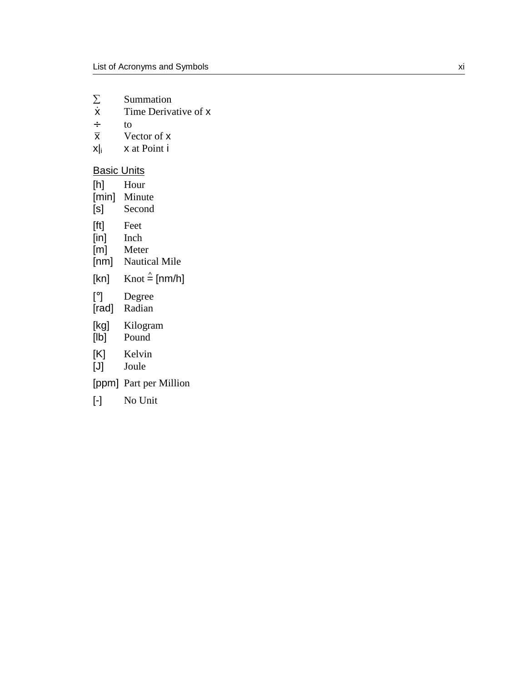- $\sum_{\dot{\mathsf{X}}}$ Summation
- $\dot{x}$  Time Derivative of  $x +$
- $\frac{+}{\overline{X}}$  to  $\frac{+}{\overline{X}}$
- $\overline{x}$  Vector of x<br>x|| x at Point i
- x at Point i

#### **Basic Units**

| [h]   | Hour                               |
|-------|------------------------------------|
| [min] | Minute                             |
| [s]   | Second                             |
| [ft]  | Feet                               |
| [in]  | Inch                               |
| [m]   | Meter                              |
| [nm]  | <b>Nautical Mile</b>               |
| [kn]  | Knot $\stackrel{\wedge}{=}$ [nm/h] |
| [°]   | Degree                             |
| [rad] | Radian                             |
| [kg]  | Kilogram                           |
| [lb]  | Pound                              |
| [K]   | Kelvin                             |
| IJ    | Joule                              |
|       | [ppm] Part per Million             |
| [-]   | No Unit                            |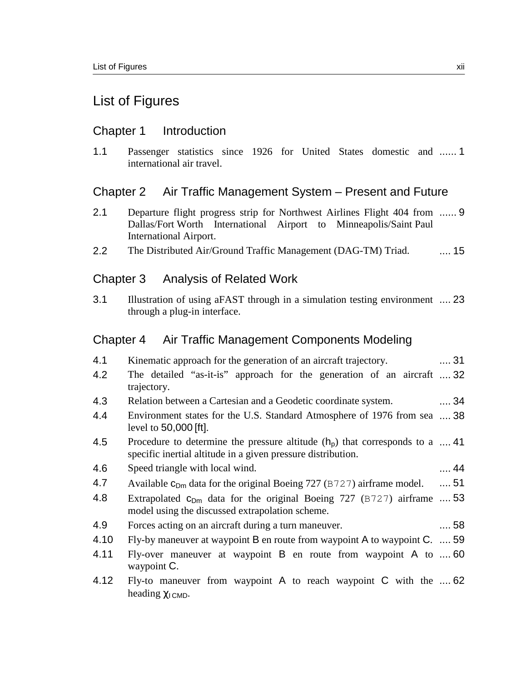### List of Figures

#### Chapter 1 Introduction

1.1 Passenger statistics since 1926 for United States domestic and ...... 1 international air travel.

#### Chapter 2 Air Traffic Management System – Present and Future

- 2.1 Departure flight progress strip for Northwest Airlines Flight 404 from ...... 9 Dallas/Fort Worth International Airport to Minneapolis/Saint Paul International Airport.
- 2.2 The Distributed Air/Ground Traffic Management (DAG-TM) Triad. .... 15

#### Chapter 3 Analysis of Related Work

3.1 Illustration of using aFAST through in a simulation testing environment .... 23 through a plug-in interface.

#### Chapter 4 Air Traffic Management Components Modeling

| 4.1  | Kinematic approach for the generation of an aircraft trajectory.                                                                              | 31         |
|------|-----------------------------------------------------------------------------------------------------------------------------------------------|------------|
| 4.2  | The detailed "as-it-is" approach for the generation of an aircraft  32<br>trajectory.                                                         |            |
| 4.3  | Relation between a Cartesian and a Geodetic coordinate system.                                                                                | $\dots$ 34 |
| 4.4  | Environment states for the U.S. Standard Atmosphere of 1976 from sea  38<br>level to $50,000$ [ft].                                           |            |
| 4.5  | Procedure to determine the pressure altitude $(hp)$ that corresponds to a  41<br>specific inertial altitude in a given pressure distribution. |            |
| 4.6  | Speed triangle with local wind.                                                                                                               | . 44       |
| 4.7  | Available $c_{Dm}$ data for the original Boeing 727 (B727) airframe model.                                                                    | $\dots$ 51 |
| 4.8  | Extrapolated $c_{Dm}$ data for the original Boeing 727 (B727) airframe  53<br>model using the discussed extrapolation scheme.                 |            |
| 4.9  | Forces acting on an aircraft during a turn maneuver.                                                                                          | $\dots$ 58 |
| 4.10 | Fly-by maneuver at waypoint B en route from waypoint A to waypoint C.  59                                                                     |            |
| 4.11 | Fly-over maneuver at waypoint $\bf{B}$ en route from waypoint $\bf{A}$ to  60<br>waypoint C.                                                  |            |
| 4.12 | Fly-to maneuver from waypoint A to reach waypoint C with the $\dots$ 62<br>heading $\chi$ <sub>I</sub> CMD.                                   |            |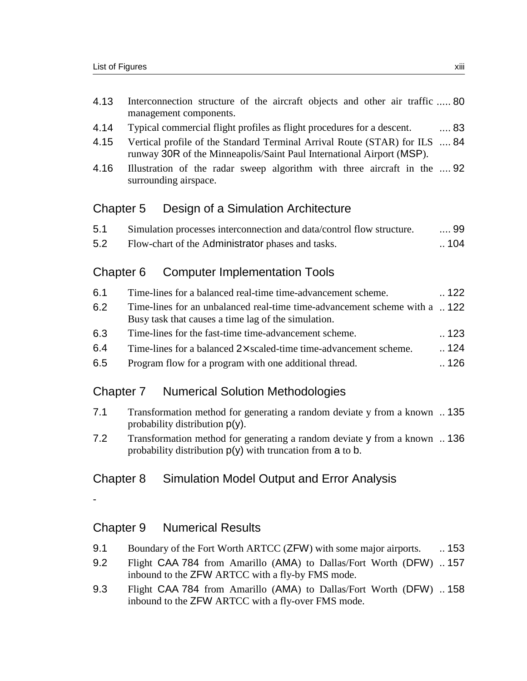- 4.13 Interconnection structure of the aircraft objects and other air traffic ..... 80 management components.
- 4.14 Typical commercial flight profiles as flight procedures for a descent. .... 83
- 4.15 Vertical profile of the Standard Terminal Arrival Route (STAR) for ILS .... 84 runway 30R of the Minneapolis/Saint Paul International Airport (MSP).
- 4.16 Illustration of the radar sweep algorithm with three aircraft in the .... 92 surrounding airspace.

#### Chapter 5 Design of a Simulation Architecture

| 5.1 | Simulation processes interconnection and data/control flow structure. | . 99 |
|-----|-----------------------------------------------------------------------|------|
| 5.2 | Flow-chart of the Administrator phases and tasks.                     | 104  |

#### Chapter 6 Computer Implementation Tools

| -6.1 | Time-lines for a balanced real-time time-advancement scheme.               | $\ldots$ 122 |
|------|----------------------------------------------------------------------------|--------------|
| .6.2 | Time-lines for an unbalanced real-time time-advancement scheme with a  122 |              |
|      | Busy task that causes a time lag of the simulation.                        |              |
| 6.3  | Time-lines for the fast-time time-advancement scheme.                      | $\ldots$ 123 |
| 6.4  | Time-lines for a balanced $2 \times$ scaled-time time-advancement scheme.  | 124          |
| 6.5  | Program flow for a program with one additional thread.                     | 126          |

#### Chapter 7 Numerical Solution Methodologies

- 7.1 Transformation method for generating a random deviate y from a known .. 135 probability distribution p(y).
- 7.2 Transformation method for generating a random deviate y from a known .. 136 probability distribution  $p(y)$  with truncation from  $a$  to  $b$ .

### Chapter 8 Simulation Model Output and Error Analysis

-

#### Chapter 9 Numerical Results

- 9.1 Boundary of the Fort Worth ARTCC (ZFW) with some major airports. ... 153
- 9.2 Flight CAA 784 from Amarillo (AMA) to Dallas/Fort Worth (DFW) .. 157 inbound to the ZFW ARTCC with a fly-by FMS mode.
- 9.3 Flight CAA 784 from Amarillo (AMA) to Dallas/Fort Worth (DFW) .. 158 inbound to the ZFW ARTCC with a fly-over FMS mode.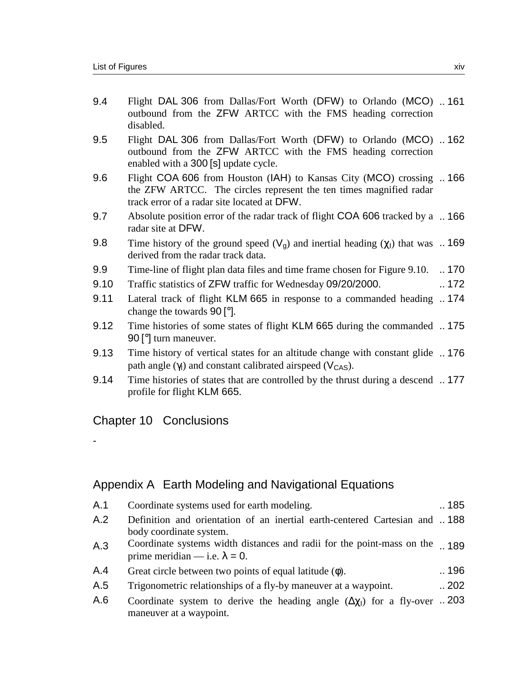| Flight DAL 306 from Dallas/Fort Worth (DFW) to Orlando (MCO) 161<br>9.4<br>outbound from the ZFW ARTCC with the FMS heading correction<br>disabled.                                              |  |
|--------------------------------------------------------------------------------------------------------------------------------------------------------------------------------------------------|--|
| 9.5<br>Flight DAL 306 from Dallas/Fort Worth (DFW) to Orlando (MCO) 162<br>outbound from the ZFW ARTCC with the FMS heading correction<br>enabled with a 300 [s] update cycle.                   |  |
| 9.6<br>Flight COA 606 from Houston (IAH) to Kansas City (MCO) crossing  166<br>the ZFW ARTCC. The circles represent the ten times magnified radar<br>track error of a radar site located at DFW. |  |
| Absolute position error of the radar track of flight COA 606 tracked by a  166<br>9.7<br>radar site at DFW.                                                                                      |  |
| 9.8<br>Time history of the ground speed $(V_g)$ and inertial heading $(\chi_l)$ that was  169<br>derived from the radar track data.                                                              |  |
| 9.9<br>Time-line of flight plan data files and time frame chosen for Figure 9.10.<br>$\ldots$ 170                                                                                                |  |
| 9.10<br>.172<br>Traffic statistics of ZFW traffic for Wednesday 09/20/2000.                                                                                                                      |  |
| 9.11<br>Lateral track of flight KLM 665 in response to a commanded heading 174<br>change the towards $90$ [ $^{\circ}$ ].                                                                        |  |
| 9.12<br>Time histories of some states of flight KLM 665 during the commanded 175<br>90 <sup>[°</sup> ] turn maneuver.                                                                            |  |
| 9.13<br>Time history of vertical states for an altitude change with constant glide 176<br>path angle $(\gamma_l)$ and constant calibrated airspeed ( $V_{\text{CAS}}$ ).                         |  |
| 9.14<br>Time histories of states that are controlled by the thrust during a descend 177<br>profile for flight KLM 665.                                                                           |  |
| <b>Chapter 10 Conclusions</b>                                                                                                                                                                    |  |

# Appendix A Earth Modeling and Navigational Equations

| A.1           | Coordinate systems used for earth modeling.                                                                                                                                                                                                                                                                                                                   | .185 |
|---------------|---------------------------------------------------------------------------------------------------------------------------------------------------------------------------------------------------------------------------------------------------------------------------------------------------------------------------------------------------------------|------|
| A.2           | Definition and orientation of an inertial earth-centered Cartesian and 188<br>body coordinate system.                                                                                                                                                                                                                                                         |      |
| A.3           | Coordinate systems width distances and radii for the point-mass on the 189<br>prime meridian — i.e. $\lambda = 0$ .                                                                                                                                                                                                                                           |      |
| A.4           | Great circle between two points of equal latitude $(\phi)$ .                                                                                                                                                                                                                                                                                                  | 196  |
| A.5           | Trigonometric relationships of a fly-by maneuver at a waypoint.                                                                                                                                                                                                                                                                                               | .202 |
| $\mathcal{L}$ | $\alpha$ 1 $\alpha$ 1 $\alpha$ 1 $\alpha$ 1 $\alpha$ 1 $\alpha$ 1 $\alpha$ 1 $\alpha$ 1 $\alpha$ 1 $\alpha$ 1 $\alpha$ 1 $\alpha$ 1 $\alpha$ 1 $\alpha$ 1 $\alpha$ 1 $\alpha$ 1 $\alpha$ 1 $\alpha$ 1 $\alpha$ 1 $\alpha$ 1 $\alpha$ 1 $\alpha$ 1 $\alpha$ 1 $\alpha$ 1 $\alpha$ 1 $\alpha$ 1 $\alpha$ 1 $\alpha$ 1 $\alpha$ 1 $\alpha$ 1 $\alpha$ 1 $\alpha$ | ററ   |

A.6 Coordinate system to derive the heading angle  $(Δχ₁)$  for a fly-over  $\ldots$  203 maneuver at a waypoint.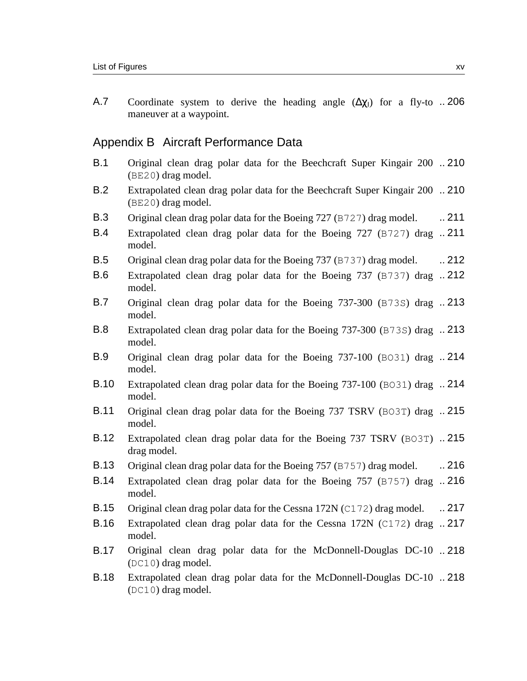A.7 Coordinate system to derive the heading angle  $(\Delta \chi_{\parallel})$  for a fly-to .. 206 maneuver at a waypoint.

#### Appendix B Aircraft Performance Data

- B.1 Original clean drag polar data for the Beechcraft Super Kingair 200 ..210 (BE20) drag model.
- B.2 Extrapolated clean drag polar data for the Beechcraft Super Kingair 200 .. 210 (BE20) drag model.
- B.3 Original clean drag polar data for the Boeing 727 (B727) drag model. ... 211
- B.4 Extrapolated clean drag polar data for the Boeing 727 (B727) drag ..211 model.
- B.5 Original clean drag polar data for the Boeing 737 (B737) drag model. ... 212
- B.6 Extrapolated clean drag polar data for the Boeing 737 (B737) drag ..212 model.
- B.7 Original clean drag polar data for the Boeing 737-300 (B73S) drag ..213 model.
- B.8 Extrapolated clean drag polar data for the Boeing 737-300 (B73S) drag .. 213 model.
- B.9 Original clean drag polar data for the Boeing 737-100 (BO31) drag .. 214 model.
- B.10 Extrapolated clean drag polar data for the Boeing 737-100 (BO31) drag .. 214 model.
- B.11 Original clean drag polar data for the Boeing 737 TSRV (BO3T) drag .. 215 model.
- B.12 Extrapolated clean drag polar data for the Boeing 737 TSRV (BO3T) ..215 drag model.
- B.13 Original clean drag polar data for the Boeing 757 (B757) drag model. ... 216
- B.14 Extrapolated clean drag polar data for the Boeing 757 (B757) drag .. 216 model.
- B.15 Original clean drag polar data for the Cessna 172N (C172) drag model. .. 217
- B.16 Extrapolated clean drag polar data for the Cessna 172N (C172) drag .. 217 model.
- B.17 Original clean drag polar data for the McDonnell-Douglas DC-10 ..218 (DC10) drag model.
- B.18 Extrapolated clean drag polar data for the McDonnell-Douglas DC-10 .. 218(DC10) drag model.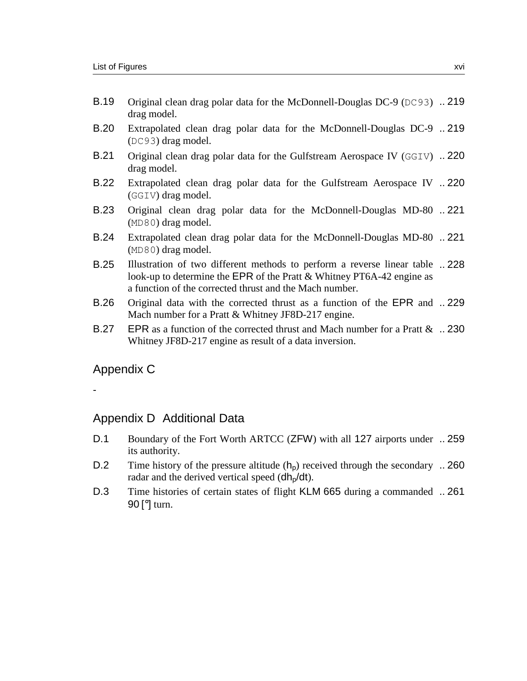- B.19 Original clean drag polar data for the McDonnell-Douglas DC-9 (DC93) .. 219 drag model.
- B.20 Extrapolated clean drag polar data for the McDonnell-Douglas DC-9 .. 219 (DC93) drag model.
- B.21 Original clean drag polar data for the Gulfstream Aerospace IV (GGIV) .. 220 drag model.
- B.22 Extrapolated clean drag polar data for the Gulfstream Aerospace IV .. 220 (GGIV) drag model.
- B.23 Original clean drag polar data for the McDonnell-Douglas MD-80 ..221 (MD80) drag model.
- B.24 Extrapolated clean drag polar data for the McDonnell-Douglas MD-80 .. 221 (MD80) drag model.
- B.25 Illustration of two different methods to perform a reverse linear table .. 228 look-up to determine the EPR of the Pratt & Whitney PT6A-42 engine as a function of the corrected thrust and the Mach number.
- B.26 Original data with the corrected thrust as a function of the EPR and ..229 Mach number for a Pratt & Whitney JF8D-217 engine.
- B.27 EPR as a function of the corrected thrust and Mach number for a Pratt  $\&$  .. 230 Whitney JF8D-217 engine as result of a data inversion.

Appendix C

-

#### Appendix D Additional Data

- D.1 Boundary of the Fort Worth ARTCC (ZFW) with all 127 airports under .. 259 its authority.
- D.2 Time history of the pressure altitude  $(h_p)$  received through the secondary .. 260 radar and the derived vertical speed  $(dh<sub>p</sub>/dt)$ .
- D.3 Time histories of certain states of flight KLM 665 during a commanded .. 26190 [°] turn.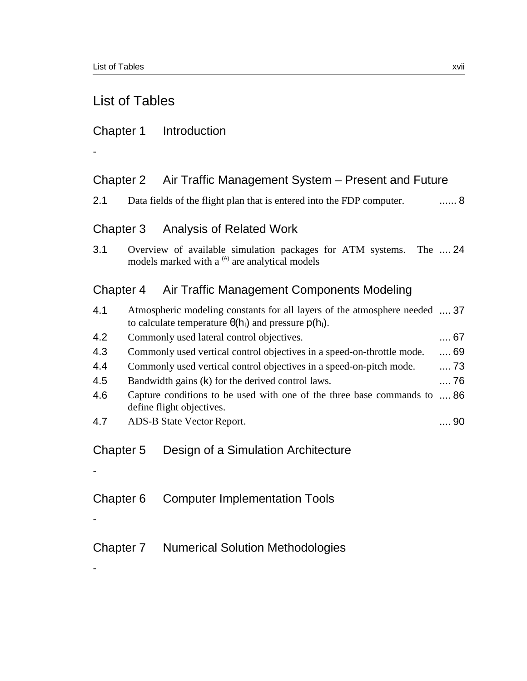### List of Tables

### Chapter 1 Introduction

### Chapter 2 Air Traffic Management System – Present and Future

2.1 Data fields of the flight plan that is entered into the FDP computer. ...... 8

### Chapter 3 Analysis of Related Work

3.1 Overview of available simulation packages for ATM systems. The .... 24 models marked with a <sup>(A)</sup> are analytical models

### Chapter 4 Air Traffic Management Components Modeling

| 4.1 | Atmospheric modeling constants for all layers of the atmosphere needed  37<br>to calculate temperature $\theta(h_1)$ and pressure $p(h_1)$ . |            |
|-----|----------------------------------------------------------------------------------------------------------------------------------------------|------------|
| 4.2 | Commonly used lateral control objectives.                                                                                                    | $\dots$ 67 |
| 4.3 | Commonly used vertical control objectives in a speed-on-throttle mode.                                                                       | 69         |
| 4.4 | Commonly used vertical control objectives in a speed-on-pitch mode.                                                                          | $\dots$ 73 |
| 4.5 | Bandwidth gains (k) for the derived control laws.                                                                                            | 76         |
| 4.6 | Capture conditions to be used with one of the three base commands to<br>define flight objectives.                                            | …. 86      |
| 4.7 | ADS-B State Vector Report.                                                                                                                   | 90         |

### Chapter 5 Design of a Simulation Architecture

- Chapter 6 Computer Implementation Tools
- -

-

-

Chapter 7 Numerical Solution Methodologies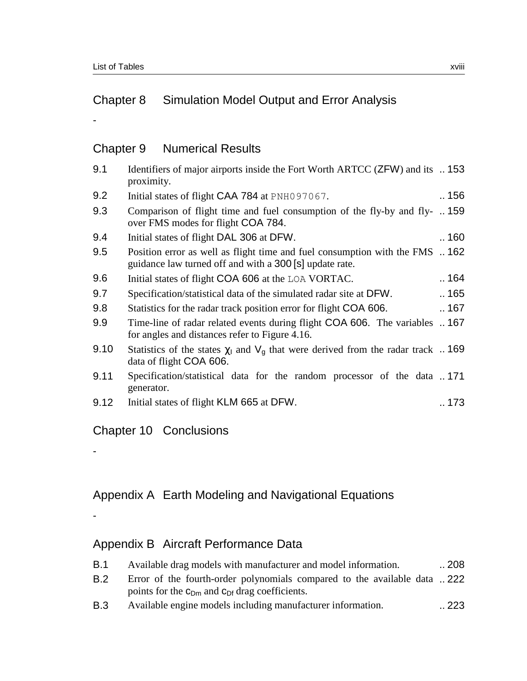# Chapter 8 Simulation Model Output and Error Analysis

### Chapter 9 Numerical Results

| 9.1  | Identifiers of major airports inside the Fort Worth ARTCC (ZFW) and its  153<br>proximity.                                              |      |
|------|-----------------------------------------------------------------------------------------------------------------------------------------|------|
| 9.2  | Initial states of flight CAA 784 at PNH097067.                                                                                          | .156 |
| 9.3  | Comparison of flight time and fuel consumption of the fly-by and fly-  159<br>over FMS modes for flight COA 784.                        |      |
| 9.4  | Initial states of flight DAL 306 at DFW.                                                                                                | 160  |
| 9.5  | Position error as well as flight time and fuel consumption with the FMS  162<br>guidance law turned off and with a 300 [s] update rate. |      |
| 9.6  | Initial states of flight COA 606 at the LOA VORTAC.                                                                                     | .164 |
| 9.7  | Specification/statistical data of the simulated radar site at DFW.                                                                      | .165 |
| 9.8  | Statistics for the radar track position error for flight COA 606.                                                                       | 167  |
| 9.9  | Time-line of radar related events during flight COA 606. The variables  167<br>for angles and distances refer to Figure 4.16.           |      |
| 9.10 | Statistics of the states $\chi$ and $V_g$ that were derived from the radar track  169<br>data of flight COA 606.                        |      |
| 9.11 | Specification/statistical data for the random processor of the data 171<br>generator.                                                   |      |
| 9.12 | Initial states of flight KLM 665 at DFW.                                                                                                | 173  |

### Chapter 10 Conclusions

#### Appendix A Earth Modeling and Navigational Equations

-

-

# Appendix B Aircraft Performance Data

| B.1 | Available drag models with manufacturer and model information.           | $\ldots 208$ |
|-----|--------------------------------------------------------------------------|--------------|
| B.2 | Error of the fourth-order polynomials compared to the available data 222 |              |
|     | points for the $c_{Dm}$ and $c_{Df}$ drag coefficients.                  |              |
| ^ פ | Avoilable engine models including menufactures information               | റററ          |

B.3 Available engine models including manufacturer information. 223